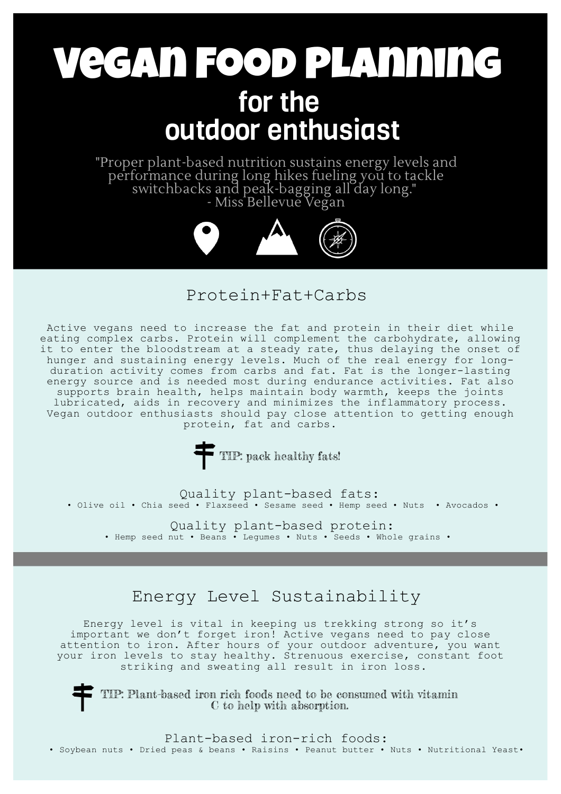# Vegan Food Planning for the outdoor enthusiast

"Proper plant-based nutrition sustains energy levels and performance during long hikes fueling you to tackle switchbacks and peak-bagging all day long." - Miss Bellevue Vegan



#### Protein+Fat+Carbs

Active vegans need to increase the fat and protein in their diet while eating complex carbs. Protein will complement the carbohydrate, allowing it to enter the bloodstream at a steady rate, thus delaying the onset of hunger and sustaining energy levels. Much of the real energy for longduration activity comes from carbs and fat. Fat is the longer-lasting energy source and is needed most during endurance activities. Fat also supports brain health, helps maintain body warmth, keeps the joints lubricated, aids in recovery and minimizes the inflammatory process. Vegan outdoor enthusiasts should pay close attention to getting enough protein, fat and carbs.

TIP: pack healthy fats!

Quality plant-based fats: • Olive oil • Chia seed • Flaxseed • Sesame seed • Hemp seed • Nuts • Avocados •

• Hemp seed nut • Beans • Legumes • Nuts • Seeds • Whole grains • Quality plant-based protein:

### Energy Level Sustainability

Energy level is vital in keeping us trekking strong so it's important we don't forget iron! Active vegans need to pay close attention to iron. After hours of your outdoor adventure, you want your iron levels to stay healthy. Strenuous exercise, constant foot striking and sweating all result in iron loss.

TIP: Plant-based iron rich foods need to be consumed with vitamin C to help with absorption.

Plant-based iron-rich foods:

• Soybean nuts • Dried peas & beans • Raisins • Peanut butter • Nuts • Nutritional Yeast•